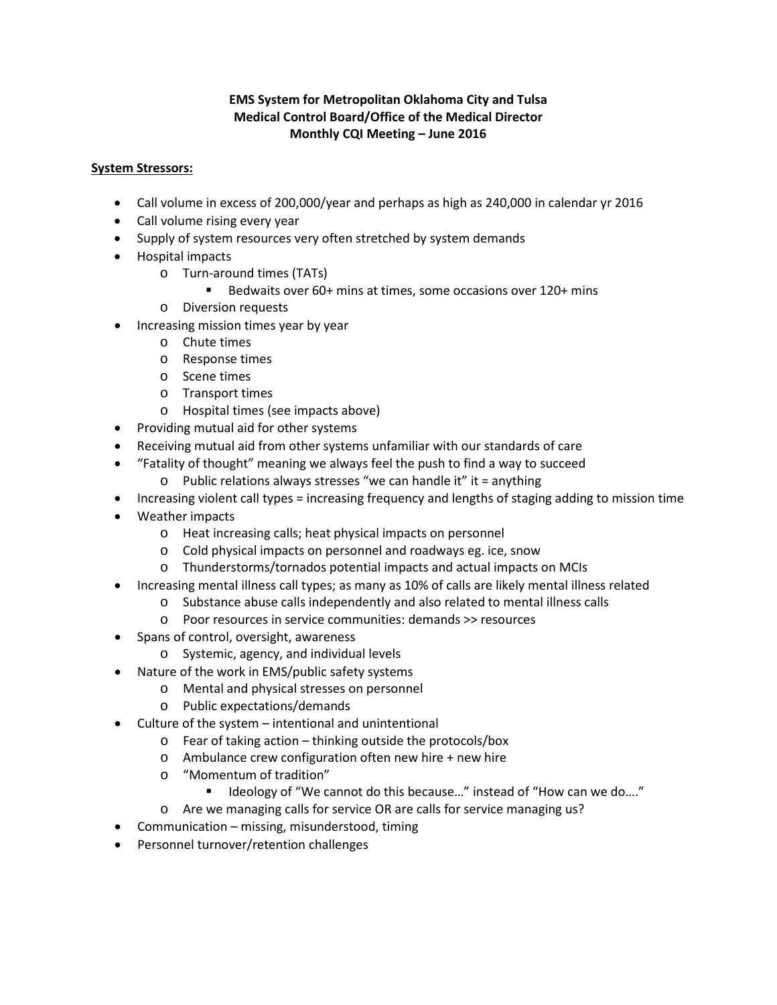### **EMS System for Metropolitan Oklahoma City and Tulsa Medical Control Board/Office of the Medical Director Monthly CQI Meeting – June 2016**

#### **System Stressors:**

- Call volume in excess of 200,000/year and perhaps as high as 240,000 in calendar yr 2016
- Call volume rising every year
- Supply of system resources very often stretched by system demands
- Hospital impacts
	- o Turn-around times (TATs)
		- Bedwaits over 60+ mins at times, some occasions over 120+ mins
	- o Diversion requests
- Increasing mission times year by year
	- o Chute times
	- o Response times
	- o Scene times
	- o Transport times
	- o Hospital times (see impacts above)
- Providing mutual aid for other systems
- Receiving mutual aid from other systems unfamiliar with our standards of care
- "Fatality of thought" meaning we always feel the push to find a way to succeed
	- o Public relations always stresses "we can handle it" it = anything
- Increasing violent call types = increasing frequency and lengths of staging adding to mission time
- Weather impacts
	- o Heat increasing calls; heat physical impacts on personnel
	- o Cold physical impacts on personnel and roadways eg. ice, snow
	- o Thunderstorms/tornados potential impacts and actual impacts on MCIs
- Increasing mental illness call types; as many as 10% of calls are likely mental illness related
	- o Substance abuse calls independently and also related to mental illness calls
	- o Poor resources in service communities: demands >> resources
- Spans of control, oversight, awareness
	- o Systemic, agency, and individual levels
- Nature of the work in EMS/public safety systems
	- o Mental and physical stresses on personnel
	- o Public expectations/demands
- Culture of the system intentional and unintentional
	- o Fear of taking action thinking outside the protocols/box
	- o Ambulance crew configuration often new hire + new hire
	- o "Momentum of tradition"
		- Ideology of "We cannot do this because..." instead of "How can we do...."
	- o Are we managing calls for service OR are calls for service managing us?
- Communication missing, misunderstood, timing
- Personnel turnover/retention challenges